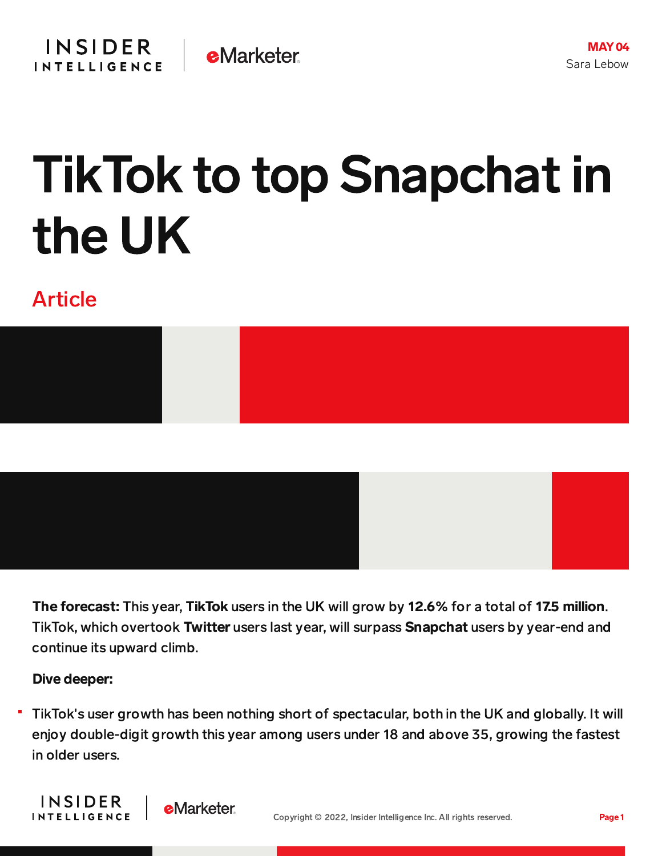## TikTok to top Snapchat in the UK

## Article



The forecast: This year, TikTok users in the UK will grow by 12.6% for a total of 17.5 million. TikTok, which overtook Twitter users last year, will surpass Snapchat users by year-end and continue its upward climb.

## Dive deeper:

**INSIDER** 

**INTELLIGENCE** 

TikTok's user growth has been nothing short of spectacular, both in the UK and globally. It will enjoy double-digit growth this year among users under 18 and above 35, growing the fastest in older users.